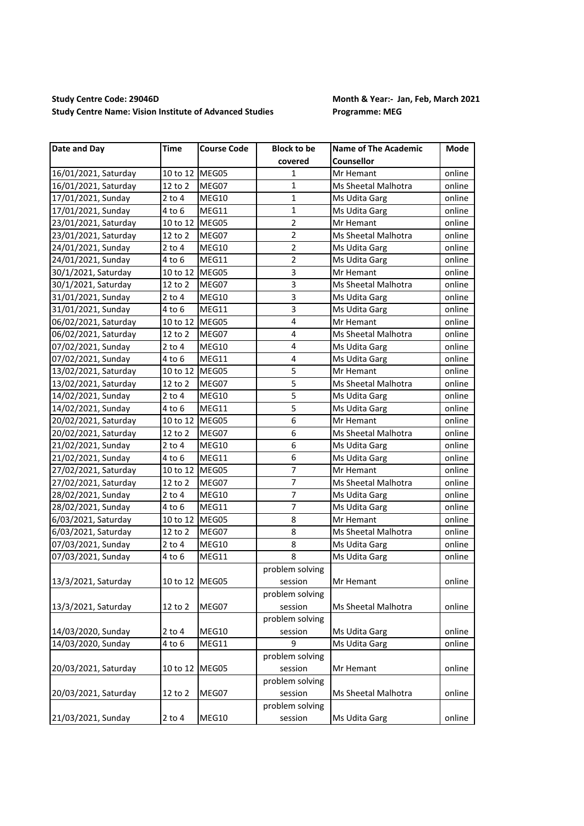## **Study Centre Code: 29046D Month & Year:- Jan, Feb, March 2021 Study Centre Name: Vision Institute of Advanced Studies Programme: MEG**

| Date and Day         | <b>Time</b>    | <b>Course Code</b> | <b>Block to be</b>      | <b>Name of The Academic</b> | Mode   |
|----------------------|----------------|--------------------|-------------------------|-----------------------------|--------|
|                      |                |                    | covered                 | <b>Counsellor</b>           |        |
| 16/01/2021, Saturday | 10 to 12 MEG05 |                    | 1                       | Mr Hemant                   | online |
| 16/01/2021, Saturday | 12 to 2        | MEG07              | 1                       | Ms Sheetal Malhotra         | online |
| 17/01/2021, Sunday   | $2$ to $4$     | MEG10              | $\mathbf{1}$            | Ms Udita Garg               | online |
| 17/01/2021, Sunday   | 4 to 6         | MEG11              | $\mathbf{1}$            | Ms Udita Garg               | online |
| 23/01/2021, Saturday | 10 to 12 MEG05 |                    | $\overline{2}$          | Mr Hemant                   | online |
| 23/01/2021, Saturday | 12 to 2        | MEG07              | $\overline{2}$          | Ms Sheetal Malhotra         | online |
| 24/01/2021, Sunday   | $2$ to $4$     | MEG10              | 2                       | Ms Udita Garg               | online |
| 24/01/2021, Sunday   | 4 to 6         | MEG11              | $\overline{2}$          | Ms Udita Garg               | online |
| 30/1/2021, Saturday  | 10 to 12 MEG05 |                    | 3                       | Mr Hemant                   | online |
| 30/1/2021, Saturday  | 12 to 2        | MEG07              | 3                       | Ms Sheetal Malhotra         | online |
| 31/01/2021, Sunday   | $2$ to $4$     | MEG10              | 3                       | Ms Udita Garg               | online |
| 31/01/2021, Sunday   | 4 to 6         | MEG11              | 3                       | Ms Udita Garg               | online |
| 06/02/2021, Saturday | 10 to 12 MEG05 |                    | 4                       | Mr Hemant                   | online |
| 06/02/2021, Saturday | 12 to 2        | MEG07              | 4                       | Ms Sheetal Malhotra         | online |
| 07/02/2021, Sunday   | $2$ to $4$     | MEG10              | $\overline{4}$          | Ms Udita Garg               | online |
| 07/02/2021, Sunday   | 4 to 6         | MEG11              | $\overline{\mathbf{4}}$ | Ms Udita Garg               | online |
| 13/02/2021, Saturday | 10 to 12       | MEG05              | 5                       | Mr Hemant                   | online |
| 13/02/2021, Saturday | 12 to 2        | MEG07              | $\overline{5}$          | Ms Sheetal Malhotra         | online |
| 14/02/2021, Sunday   | $2$ to $4$     | MEG10              | 5                       | Ms Udita Garg               | online |
| 14/02/2021, Sunday   | 4 to 6         | MEG11              | 5                       | Ms Udita Garg               | online |
| 20/02/2021, Saturday | 10 to 12 MEG05 |                    | 6                       | Mr Hemant                   | online |
| 20/02/2021, Saturday | 12 to 2        | MEG07              | 6                       | Ms Sheetal Malhotra         | online |
| 21/02/2021, Sunday   | $2$ to $4$     | MEG10              | 6                       | Ms Udita Garg               | online |
| 21/02/2021, Sunday   | 4 to 6         | MEG11              | 6                       | Ms Udita Garg               | online |
| 27/02/2021, Saturday | 10 to 12 MEG05 |                    | 7                       | Mr Hemant                   | online |
| 27/02/2021, Saturday | 12 to 2        | MEG07              | $\overline{7}$          | Ms Sheetal Malhotra         | online |
| 28/02/2021, Sunday   | 2 to 4         | MEG10              | $\overline{7}$          | Ms Udita Garg               | online |
| 28/02/2021, Sunday   | 4 to 6         | MEG11              | $\overline{7}$          | Ms Udita Garg               | online |
| 6/03/2021, Saturday  | 10 to 12 MEG05 |                    | 8                       | Mr Hemant                   | online |
| 6/03/2021, Saturday  | 12 to 2        | MEG07              | 8                       | Ms Sheetal Malhotra         | online |
| 07/03/2021, Sunday   | $2$ to $4$     | MEG10              | 8                       | Ms Udita Garg               | online |
| 07/03/2021, Sunday   | 4 to 6         | MEG11              | 8                       | Ms Udita Garg               | online |
|                      |                |                    | problem solving         |                             |        |
| 13/3/2021, Saturday  | 10 to 12 MEG05 |                    | session                 | Mr Hemant                   | online |
|                      |                |                    | problem solving         |                             |        |
| 13/3/2021, Saturday  | 12 to 2        | MEG07              | session                 | Ms Sheetal Malhotra         | online |
|                      |                |                    | problem solving         |                             |        |
| 14/03/2020, Sunday   | $2$ to $4$     | MEG10              | session                 | Ms Udita Garg               | online |
| 14/03/2020, Sunday   | $4$ to $6$     | MEG11              | 9                       | Ms Udita Garg               | online |
|                      |                |                    | problem solving         |                             |        |
| 20/03/2021, Saturday | 10 to 12       | MEG05              | session                 | Mr Hemant                   | online |
|                      |                |                    | problem solving         |                             |        |
| 20/03/2021, Saturday | 12 to 2        | MEG07              | session                 | Ms Sheetal Malhotra         | online |
|                      |                |                    | problem solving         |                             |        |
| 21/03/2021, Sunday   | $2$ to $4$     | MEG10              | session                 | Ms Udita Garg               | online |